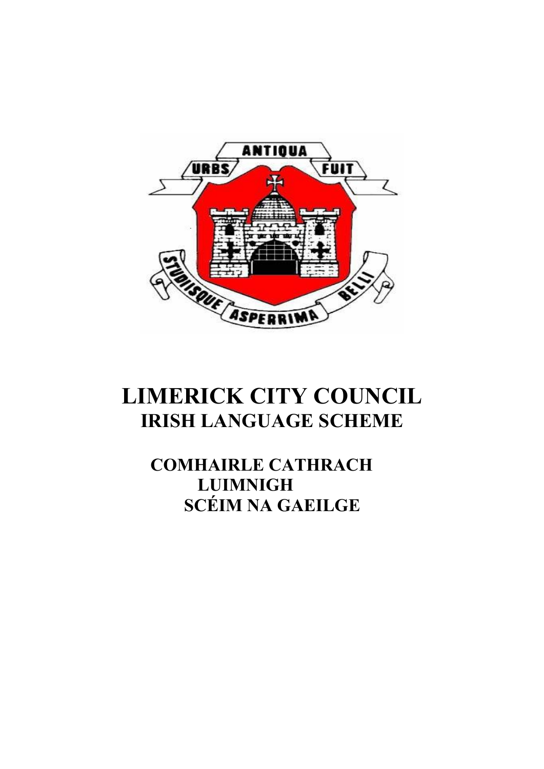

# **LIMERICK CITY COUNCIL IRISH LANGUAGE SCHEME**

# **COMHAIRLE CATHRACH LUIMNIGH SCÉIM NA GAEILGE**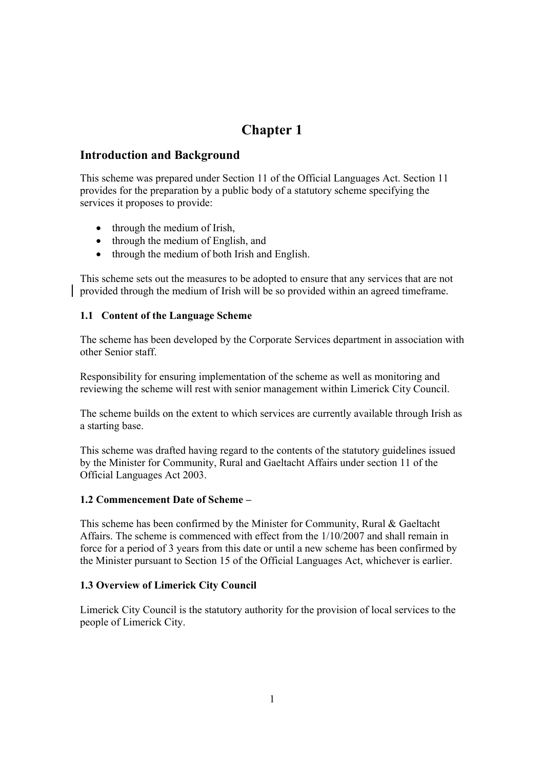# **Introduction and Background**

This scheme was prepared under Section 11 of the Official Languages Act. Section 11 provides for the preparation by a public body of a statutory scheme specifying the services it proposes to provide:

- through the medium of Irish,
- through the medium of English, and
- through the medium of both Irish and English.

This scheme sets out the measures to be adopted to ensure that any services that are not provided through the medium of Irish will be so provided within an agreed timeframe.

### **1.1 Content of the Language Scheme**

The scheme has been developed by the Corporate Services department in association with other Senior staff.

Responsibility for ensuring implementation of the scheme as well as monitoring and reviewing the scheme will rest with senior management within Limerick City Council.

The scheme builds on the extent to which services are currently available through Irish as a starting base.

This scheme was drafted having regard to the contents of the statutory guidelines issued by the Minister for Community, Rural and Gaeltacht Affairs under section 11 of the Official Languages Act 2003.

### **1.2 Commencement Date of Scheme –**

This scheme has been confirmed by the Minister for Community, Rural & Gaeltacht Affairs. The scheme is commenced with effect from the 1/10/2007 and shall remain in force for a period of 3 years from this date or until a new scheme has been confirmed by the Minister pursuant to Section 15 of the Official Languages Act, whichever is earlier.

### **1.3 Overview of Limerick City Council**

Limerick City Council is the statutory authority for the provision of local services to the people of Limerick City.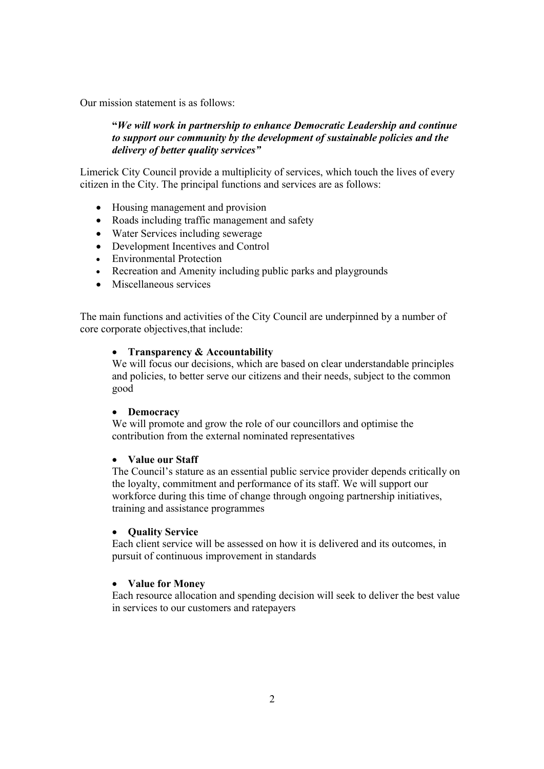Our mission statement is as follows:

### **"***We will work in partnership to enhance Democratic Leadership and continue to support our community by the development of sustainable policies and the delivery of better quality services"*

Limerick City Council provide a multiplicity of services, which touch the lives of every citizen in the City. The principal functions and services are as follows:

- Housing management and provision
- Roads including traffic management and safety
- Water Services including sewerage
- Development Incentives and Control
- Environmental Protection
- Recreation and Amenity including public parks and playgrounds
- Miscellaneous services

The main functions and activities of the City Council are underpinned by a number of core corporate objectives,that include:

#### **Transparency & Accountability**

We will focus our decisions, which are based on clear understandable principles and policies, to better serve our citizens and their needs, subject to the common good

#### **Democracy**

We will promote and grow the role of our councillors and optimise the contribution from the external nominated representatives

### **Value our Staff**

The Council's stature as an essential public service provider depends critically on the loyalty, commitment and performance of its staff. We will support our workforce during this time of change through ongoing partnership initiatives, training and assistance programmes

### **•** Ouality Service

Each client service will be assessed on how it is delivered and its outcomes, in pursuit of continuous improvement in standards

### **Value for Money**

Each resource allocation and spending decision will seek to deliver the best value in services to our customers and ratepayers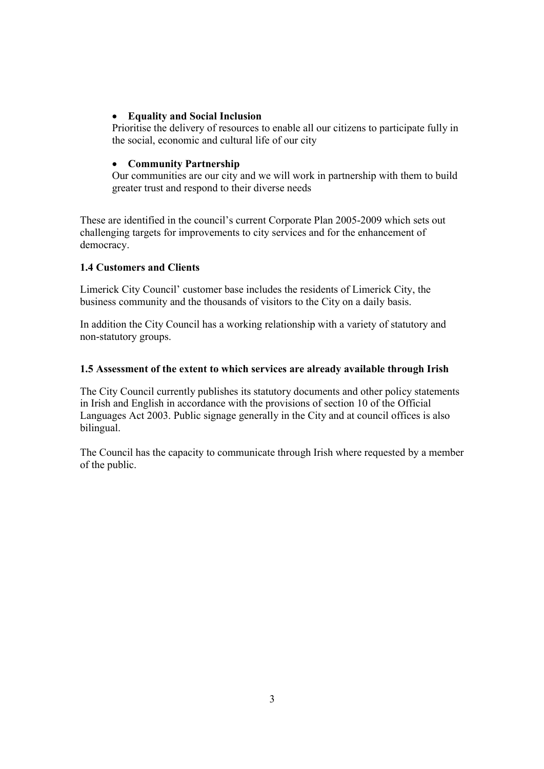### **Equality and Social Inclusion**

Prioritise the delivery of resources to enable all our citizens to participate fully in the social, economic and cultural life of our city

# **Community Partnership**

Our communities are our city and we will work in partnership with them to build greater trust and respond to their diverse needs

These are identified in the council's current Corporate Plan 2005-2009 which sets out challenging targets for improvements to city services and for the enhancement of democracy.

# **1.4 Customers and Clients**

Limerick City Council' customer base includes the residents of Limerick City, the business community and the thousands of visitors to the City on a daily basis.

In addition the City Council has a working relationship with a variety of statutory and non-statutory groups.

### **1.5 Assessment of the extent to which services are already available through Irish**

The City Council currently publishes its statutory documents and other policy statements in Irish and English in accordance with the provisions of section 10 of the Official Languages Act 2003. Public signage generally in the City and at council offices is also bilingual.

The Council has the capacity to communicate through Irish where requested by a member of the public.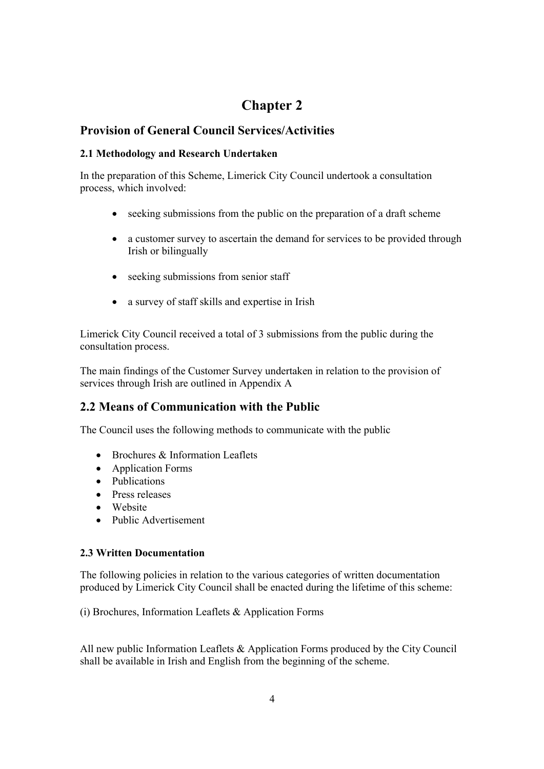# **Provision of General Council Services/Activities**

# **2.1 Methodology and Research Undertaken**

In the preparation of this Scheme, Limerick City Council undertook a consultation process, which involved:

- seeking submissions from the public on the preparation of a draft scheme
- a customer survey to ascertain the demand for services to be provided through Irish or bilingually
- seeking submissions from senior staff
- a survey of staff skills and expertise in Irish

Limerick City Council received a total of 3 submissions from the public during the consultation process.

The main findings of the Customer Survey undertaken in relation to the provision of services through Irish are outlined in Appendix A

# **2.2 Means of Communication with the Public**

The Council uses the following methods to communicate with the public

- $\bullet$  Brochures & Information Leaflets
- Application Forms
- Publications
- Press releases
- Website
- Public Advertisement

# **2.3 Written Documentation**

The following policies in relation to the various categories of written documentation produced by Limerick City Council shall be enacted during the lifetime of this scheme:

(i) Brochures, Information Leaflets & Application Forms

All new public Information Leaflets & Application Forms produced by the City Council shall be available in Irish and English from the beginning of the scheme.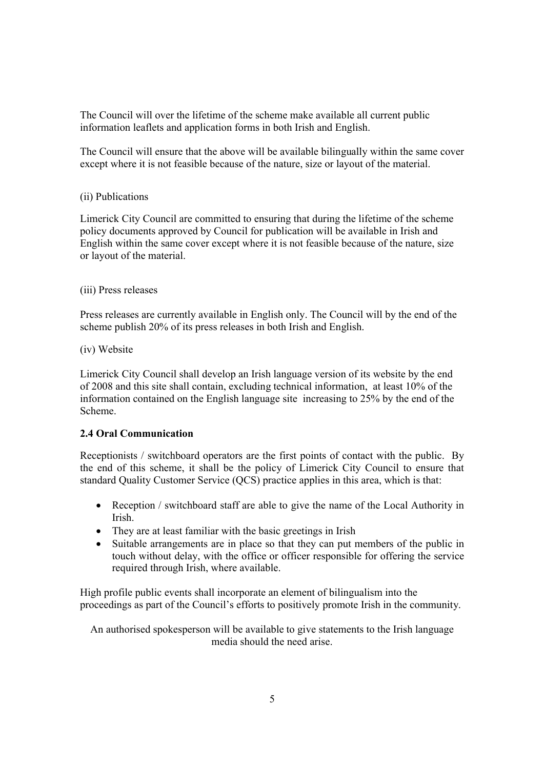The Council will over the lifetime of the scheme make available all current public information leaflets and application forms in both Irish and English.

The Council will ensure that the above will be available bilingually within the same cover except where it is not feasible because of the nature, size or layout of the material.

### (ii) Publications

Limerick City Council are committed to ensuring that during the lifetime of the scheme policy documents approved by Council for publication will be available in Irish and English within the same cover except where it is not feasible because of the nature, size or layout of the material.

#### (iii) Press releases

Press releases are currently available in English only. The Council will by the end of the scheme publish 20% of its press releases in both Irish and English.

#### (iv) Website

Limerick City Council shall develop an Irish language version of its website by the end of 2008 and this site shall contain, excluding technical information, at least 10% of the information contained on the English language site increasing to 25% by the end of the Scheme.

### **2.4 Oral Communication**

Receptionists / switchboard operators are the first points of contact with the public. By the end of this scheme, it shall be the policy of Limerick City Council to ensure that standard Quality Customer Service (QCS) practice applies in this area, which is that:

- Reception / switchboard staff are able to give the name of the Local Authority in Irish.
- They are at least familiar with the basic greetings in Irish
- Suitable arrangements are in place so that they can put members of the public in touch without delay, with the office or officer responsible for offering the service required through Irish, where available.

High profile public events shall incorporate an element of bilingualism into the proceedings as part of the Council's efforts to positively promote Irish in the community.

An authorised spokesperson will be available to give statements to the Irish language media should the need arise.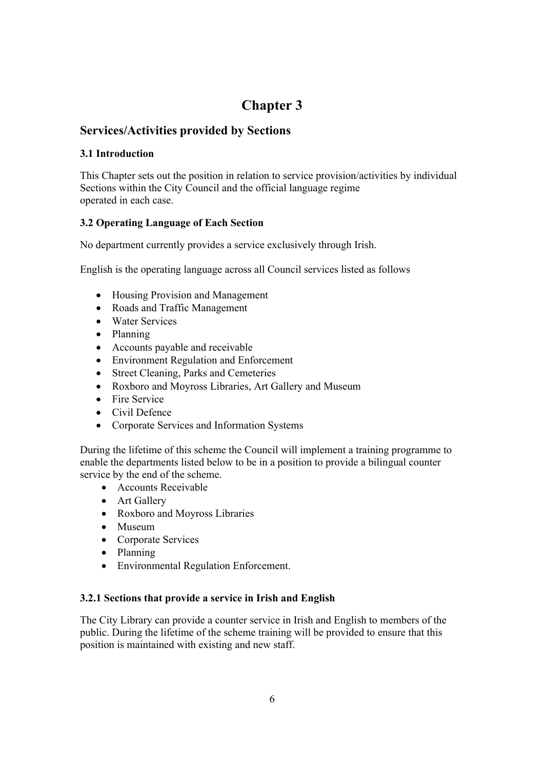# **Services/Activities provided by Sections**

# **3.1 Introduction**

This Chapter sets out the position in relation to service provision/activities by individual Sections within the City Council and the official language regime operated in each case.

# **3.2 Operating Language of Each Section**

No department currently provides a service exclusively through Irish.

English is the operating language across all Council services listed as follows

- Housing Provision and Management
- Roads and Traffic Management
- Water Services
- Planning
- Accounts payable and receivable
- Environment Regulation and Enforcement
- Street Cleaning, Parks and Cemeteries
- Roxboro and Moyross Libraries, Art Gallery and Museum
- Fire Service
- Civil Defence
- Corporate Services and Information Systems

During the lifetime of this scheme the Council will implement a training programme to enable the departments listed below to be in a position to provide a bilingual counter service by the end of the scheme.

- Accounts Receivable
- Art Gallery
- Roxboro and Moyross Libraries
- Museum
- Corporate Services
- Planning
- Environmental Regulation Enforcement.

### **3.2.1 Sections that provide a service in Irish and English**

The City Library can provide a counter service in Irish and English to members of the public. During the lifetime of the scheme training will be provided to ensure that this position is maintained with existing and new staff.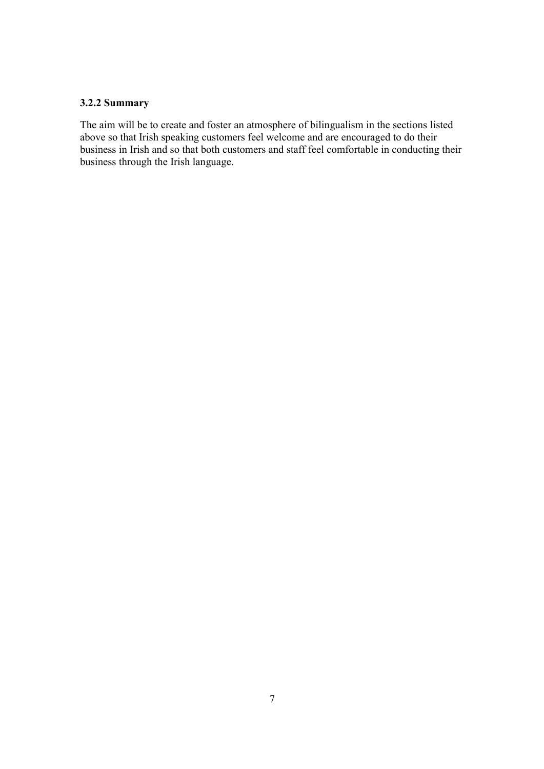# **3.2.2 Summary**

The aim will be to create and foster an atmosphere of bilingualism in the sections listed above so that Irish speaking customers feel welcome and are encouraged to do their business in Irish and so that both customers and staff feel comfortable in conducting their business through the Irish language.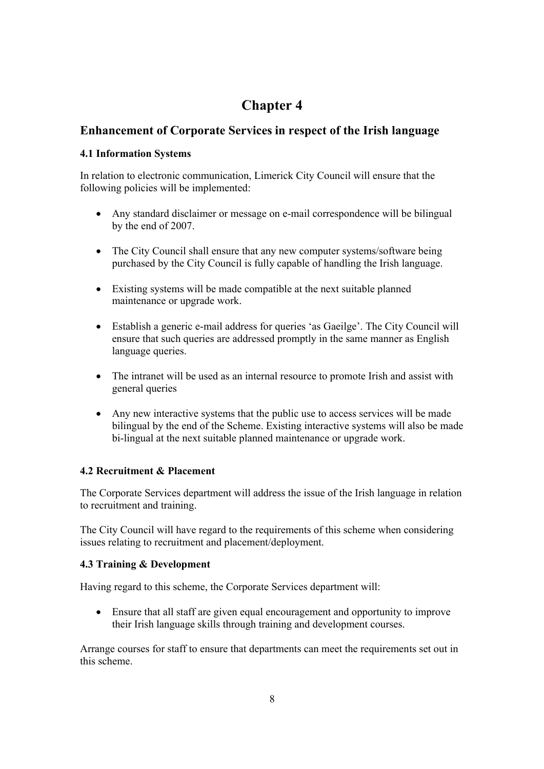# **Enhancement of Corporate Services in respect of the Irish language**

# **4.1 Information Systems**

In relation to electronic communication, Limerick City Council will ensure that the following policies will be implemented:

- Any standard disclaimer or message on e-mail correspondence will be bilingual by the end of 2007.
- The City Council shall ensure that any new computer systems/software being purchased by the City Council is fully capable of handling the Irish language.
- Existing systems will be made compatible at the next suitable planned maintenance or upgrade work.
- Establish a generic e-mail address for queries 'as Gaeilge'. The City Council will ensure that such queries are addressed promptly in the same manner as English language queries.
- The intranet will be used as an internal resource to promote Irish and assist with general queries
- Any new interactive systems that the public use to access services will be made bilingual by the end of the Scheme. Existing interactive systems will also be made bi-lingual at the next suitable planned maintenance or upgrade work.

# **4.2 Recruitment & Placement**

The Corporate Services department will address the issue of the Irish language in relation to recruitment and training.

The City Council will have regard to the requirements of this scheme when considering issues relating to recruitment and placement/deployment.

# **4.3 Training & Development**

Having regard to this scheme, the Corporate Services department will:

 Ensure that all staff are given equal encouragement and opportunity to improve their Irish language skills through training and development courses.

Arrange courses for staff to ensure that departments can meet the requirements set out in this scheme.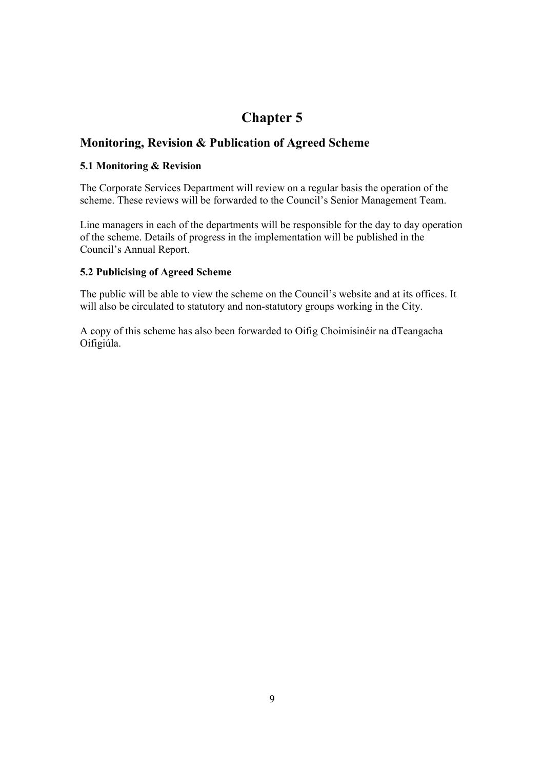# **Monitoring, Revision & Publication of Agreed Scheme**

### **5.1 Monitoring & Revision**

The Corporate Services Department will review on a regular basis the operation of the scheme. These reviews will be forwarded to the Council's Senior Management Team.

Line managers in each of the departments will be responsible for the day to day operation of the scheme. Details of progress in the implementation will be published in the Council's Annual Report.

# **5.2 Publicising of Agreed Scheme**

The public will be able to view the scheme on the Council's website and at its offices. It will also be circulated to statutory and non-statutory groups working in the City.

A copy of this scheme has also been forwarded to Oifig Choimisinéir na dTeangacha Oifigiúla.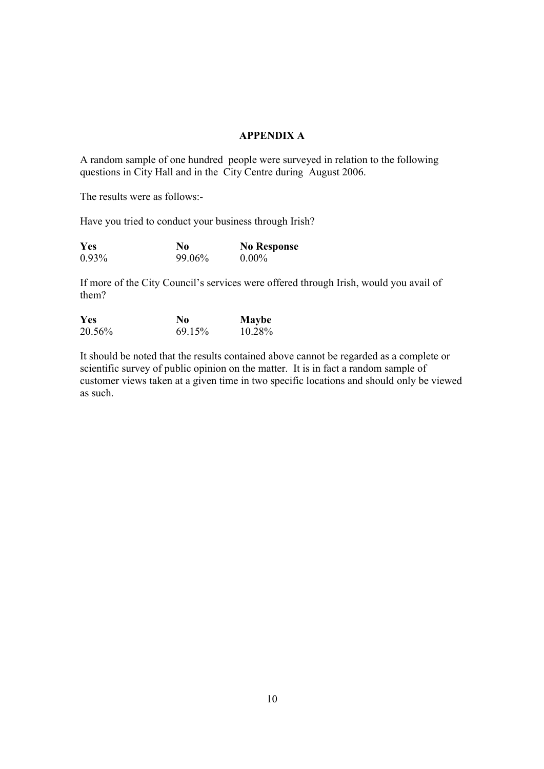### **APPENDIX A**

A random sample of one hundred people were surveyed in relation to the following questions in City Hall and in the City Centre during August 2006.

The results were as follows:-

Have you tried to conduct your business through Irish?

| Yes      | No     | <b>No Response</b> |
|----------|--------|--------------------|
| $0.93\%$ | 99.06% | $0.00\%$           |

If more of the City Council's services were offered through Irish, would you avail of them?

| Yes    | No     | <b>Maybe</b> |
|--------|--------|--------------|
| 20.56% | 69.15% | 10.28%       |

It should be noted that the results contained above cannot be regarded as a complete or scientific survey of public opinion on the matter. It is in fact a random sample of customer views taken at a given time in two specific locations and should only be viewed as such.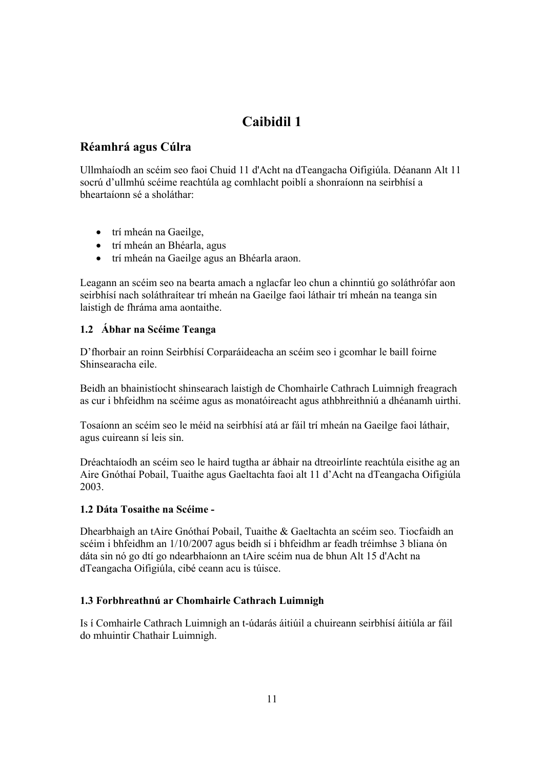# **Réamhrá agus Cúlra**

Ullmhaíodh an scéim seo faoi Chuid 11 d'Acht na dTeangacha Oifigiúla. Déanann Alt 11 socrú d'ullmhú scéime reachtúla ag comhlacht poiblí a shonraíonn na seirbhísí a bheartaíonn sé a sholáthar:

- trí mheán na Gaeilge,
- trí mheán an Bhéarla, agus
- trí mheán na Gaeilge agus an Bhéarla araon.

Leagann an scéim seo na bearta amach a nglacfar leo chun a chinntiú go soláthrófar aon seirbhísí nach soláthraítear trí mheán na Gaeilge faoi láthair trí mheán na teanga sin laistigh de fhráma ama aontaithe.

# **1.2 Ábhar na Scéime Teanga**

D'fhorbair an roinn Seirbhísí Corparáideacha an scéim seo i gcomhar le baill foirne Shinsearacha eile.

Beidh an bhainistíocht shinsearach laistigh de Chomhairle Cathrach Luimnigh freagrach as cur i bhfeidhm na scéime agus as monatóireacht agus athbhreithniú a dhéanamh uirthi.

Tosaíonn an scéim seo le méid na seirbhísí atá ar fáil trí mheán na Gaeilge faoi láthair, agus cuireann sí leis sin.

Dréachtaíodh an scéim seo le haird tugtha ar ábhair na dtreoirlínte reachtúla eisithe ag an Aire Gnóthaí Pobail, Tuaithe agus Gaeltachta faoi alt 11 d'Acht na dTeangacha Oifigiúla 2003.

# **1.2 Dáta Tosaithe na Scéime -**

Dhearbhaigh an tAire Gnóthaí Pobail, Tuaithe & Gaeltachta an scéim seo. Tiocfaidh an scéim i bhfeidhm an 1/10/2007 agus beidh sí i bhfeidhm ar feadh tréimhse 3 bliana ón dáta sin nó go dtí go ndearbhaíonn an tAire scéim nua de bhun Alt 15 d'Acht na dTeangacha Oifigiúla, cibé ceann acu is túisce.

# **1.3 Forbhreathnú ar Chomhairle Cathrach Luimnigh**

Is í Comhairle Cathrach Luimnigh an t-údarás áitiúil a chuireann seirbhísí áitiúla ar fáil do mhuintir Chathair Luimnigh.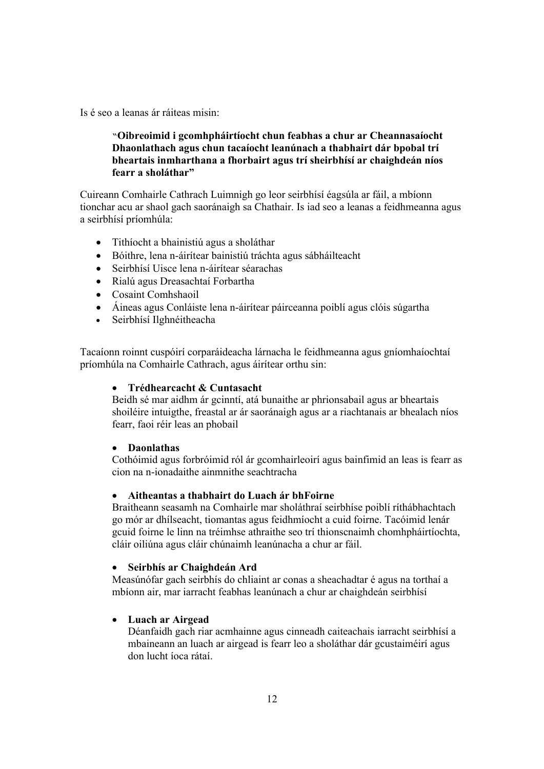Is é seo a leanas ár ráiteas misin:

# **"Oibreoimid i gcomhpháirtíocht chun feabhas a chur ar Cheannasaíocht Dhaonlathach agus chun tacaíocht leanúnach a thabhairt dár bpobal trí bheartais inmharthana a fhorbairt agus trí sheirbhísí ar chaighdeán níos fearr a sholáthar"**

Cuireann Comhairle Cathrach Luimnigh go leor seirbhísí éagsúla ar fáil, a mbíonn tionchar acu ar shaol gach saoránaigh sa Chathair. Is iad seo a leanas a feidhmeanna agus a seirbhísí príomhúla:

- Tithíocht a bhainistiú agus a sholáthar
- Bóithre, lena n-áirítear bainistiú tráchta agus sábháilteacht
- Seirbhísí Uisce lena n-áirítear séarachas
- Rialú agus Dreasachtaí Forbartha
- Cosaint Comhshaoil
- Áineas agus Conláiste lena n-áirítear páirceanna poiblí agus clóis súgartha
- Seirbhísí Ilghnéitheacha

Tacaíonn roinnt cuspóirí corparáideacha lárnacha le feidhmeanna agus gníomhaíochtaí príomhúla na Comhairle Cathrach, agus áirítear orthu sin:

### **Trédhearcacht & Cuntasacht**

Beidh sé mar aidhm ár gcinntí, atá bunaithe ar phrionsabail agus ar bheartais shoiléire intuigthe, freastal ar ár saoránaigh agus ar a riachtanais ar bhealach níos fearr, faoi réir leas an phobail

### **Daonlathas**

Cothóimid agus forbróimid ról ár gcomhairleoirí agus bainfimid an leas is fearr as cion na n-ionadaithe ainmnithe seachtracha

### **Aitheantas a thabhairt do Luach ár bhFoirne**

Braitheann seasamh na Comhairle mar sholáthraí seirbhíse poiblí ríthábhachtach go mór ar dhílseacht, tiomantas agus feidhmíocht a cuid foirne. Tacóimid lenár gcuid foirne le linn na tréimhse athraithe seo trí thionscnaimh chomhpháirtíochta, cláir oiliúna agus cláir chúnaimh leanúnacha a chur ar fáil.

### **Seirbhís ar Chaighdeán Ard**

Measúnófar gach seirbhís do chliaint ar conas a sheachadtar é agus na torthaí a mbíonn air, mar iarracht feabhas leanúnach a chur ar chaighdeán seirbhísí

### **Luach ar Airgead**

Déanfaidh gach riar acmhainne agus cinneadh caiteachais iarracht seirbhísí a mbaineann an luach ar airgead is fearr leo a sholáthar dár gcustaiméirí agus don lucht íoca rátaí.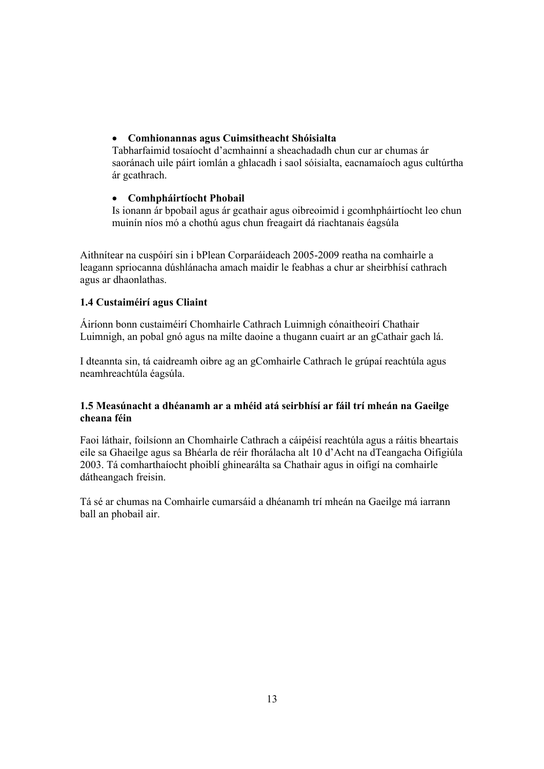### **Comhionannas agus Cuimsitheacht Shóisialta**

Tabharfaimid tosaíocht d'acmhainní a sheachadadh chun cur ar chumas ár saoránach uile páirt iomlán a ghlacadh i saol sóisialta, eacnamaíoch agus cultúrtha ár gcathrach.

# **Comhpháirtíocht Phobail**

Is ionann ár bpobail agus ár gcathair agus oibreoimid i gcomhpháirtíocht leo chun muinín níos mó a chothú agus chun freagairt dá riachtanais éagsúla

Aithnítear na cuspóirí sin i bPlean Corparáideach 2005-2009 reatha na comhairle a leagann spriocanna dúshlánacha amach maidir le feabhas a chur ar sheirbhísí cathrach agus ar dhaonlathas.

# **1.4 Custaiméirí agus Cliaint**

Áiríonn bonn custaiméirí Chomhairle Cathrach Luimnigh cónaitheoirí Chathair Luimnigh, an pobal gnó agus na mílte daoine a thugann cuairt ar an gCathair gach lá.

I dteannta sin, tá caidreamh oibre ag an gComhairle Cathrach le grúpaí reachtúla agus neamhreachtúla éagsúla.

# **1.5 Measúnacht a dhéanamh ar a mhéid atá seirbhísí ar fáil trí mheán na Gaeilge cheana féin**

Faoi láthair, foilsíonn an Chomhairle Cathrach a cáipéisí reachtúla agus a ráitis bheartais eile sa Ghaeilge agus sa Bhéarla de réir fhorálacha alt 10 d'Acht na dTeangacha Oifigiúla 2003. Tá comharthaíocht phoiblí ghinearálta sa Chathair agus in oifigí na comhairle dátheangach freisin.

Tá sé ar chumas na Comhairle cumarsáid a dhéanamh trí mheán na Gaeilge má iarrann ball an phobail air.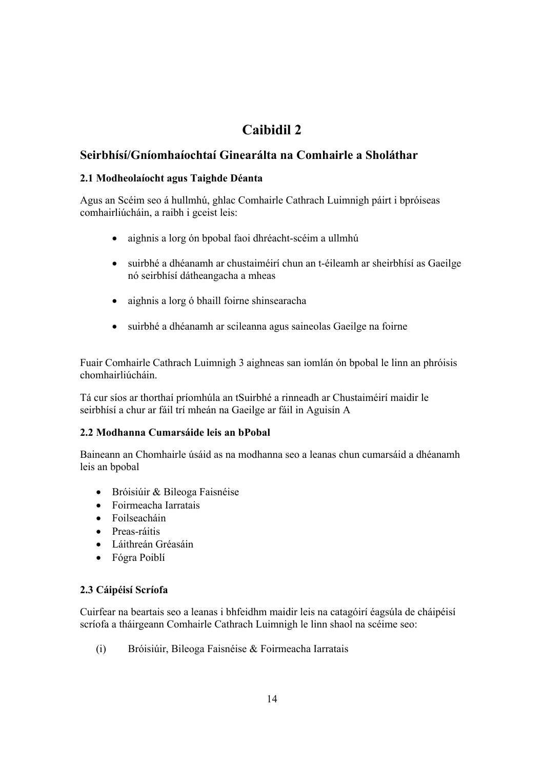# **Seirbhísí/Gníomhaíochtaí Ginearálta na Comhairle a Sholáthar**

# **2.1 Modheolaíocht agus Taighde Déanta**

Agus an Scéim seo á hullmhú, ghlac Comhairle Cathrach Luimnigh páirt i bpróiseas comhairliúcháin, a raibh i gceist leis:

- aighnis a lorg ón bpobal faoi dhréacht-scéim a ullmhú
- suirbhé a dhéanamh ar chustaiméirí chun an t-éileamh ar sheirbhísí as Gaeilge nó seirbhísí dátheangacha a mheas
- aighnis a lorg ó bhaill foirne shinsearacha
- suirbhé a dhéanamh ar scileanna agus saineolas Gaeilge na foirne

Fuair Comhairle Cathrach Luimnigh 3 aighneas san iomlán ón bpobal le linn an phróisis chomhairliúcháin.

Tá cur síos ar thorthaí príomhúla an tSuirbhé a rinneadh ar Chustaiméirí maidir le seirbhísí a chur ar fáil trí mheán na Gaeilge ar fáil in Aguisín A

### **2.2 Modhanna Cumarsáide leis an bPobal**

Baineann an Chomhairle úsáid as na modhanna seo a leanas chun cumarsáid a dhéanamh leis an bpobal

- Bróisiúir & Bileoga Faisnéise
- Foirmeacha Iarratais
- Foilseacháin
- Preas-ráitis
- Láithreán Gréasáin
- Fógra Poiblí

### **2.3 Cáipéisí Scríofa**

Cuirfear na beartais seo a leanas i bhfeidhm maidir leis na catagóirí éagsúla de cháipéisí scríofa a tháirgeann Comhairle Cathrach Luimnigh le linn shaol na scéime seo:

(i) Bróisiúir, Bileoga Faisnéise & Foirmeacha Iarratais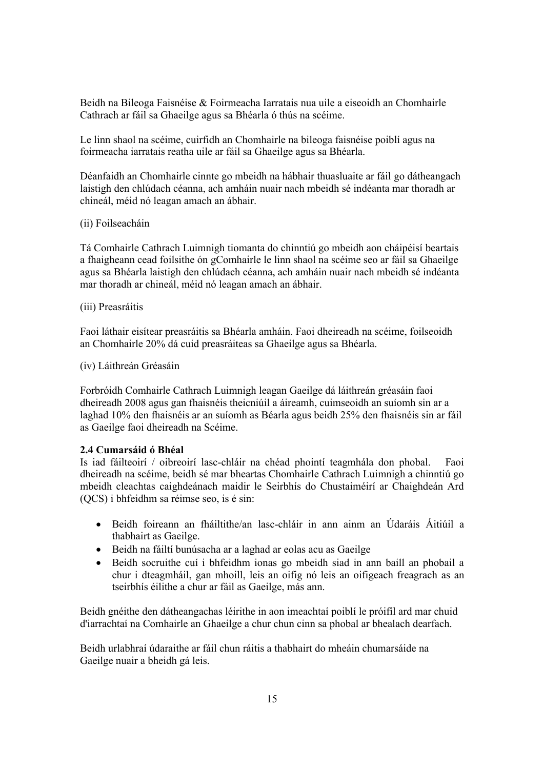Beidh na Bileoga Faisnéise & Foirmeacha Iarratais nua uile a eiseoidh an Chomhairle Cathrach ar fáil sa Ghaeilge agus sa Bhéarla ó thús na scéime.

Le linn shaol na scéime, cuirfidh an Chomhairle na bileoga faisnéise poiblí agus na foirmeacha iarratais reatha uile ar fáil sa Ghaeilge agus sa Bhéarla.

Déanfaidh an Chomhairle cinnte go mbeidh na hábhair thuasluaite ar fáil go dátheangach laistigh den chlúdach céanna, ach amháin nuair nach mbeidh sé indéanta mar thoradh ar chineál, méid nó leagan amach an ábhair.

#### (ii) Foilseacháin

Tá Comhairle Cathrach Luimnigh tiomanta do chinntiú go mbeidh aon cháipéisí beartais a fhaigheann cead foilsithe ón gComhairle le linn shaol na scéime seo ar fáil sa Ghaeilge agus sa Bhéarla laistigh den chlúdach céanna, ach amháin nuair nach mbeidh sé indéanta mar thoradh ar chineál, méid nó leagan amach an ábhair.

#### (iii) Preasráitis

Faoi láthair eisítear preasráitis sa Bhéarla amháin. Faoi dheireadh na scéime, foilseoidh an Chomhairle 20% dá cuid preasráiteas sa Ghaeilge agus sa Bhéarla.

#### (iv) Láithreán Gréasáin

Forbróidh Comhairle Cathrach Luimnigh leagan Gaeilge dá láithreán gréasáin faoi dheireadh 2008 agus gan fhaisnéis theicniúil a áireamh, cuimseoidh an suíomh sin ar a laghad 10% den fhaisnéis ar an suíomh as Béarla agus beidh 25% den fhaisnéis sin ar fáil as Gaeilge faoi dheireadh na Scéime.

### **2.4 Cumarsáid ó Bhéal**

Is iad fáilteoirí / oibreoirí lasc-chláir na chéad phointí teagmhála don phobal. Faoi dheireadh na scéime, beidh sé mar bheartas Chomhairle Cathrach Luimnigh a chinntiú go mbeidh cleachtas caighdeánach maidir le Seirbhís do Chustaiméirí ar Chaighdeán Ard (QCS) i bhfeidhm sa réimse seo, is é sin:

- Beidh foireann an fháiltithe/an lasc-chláir in ann ainm an Údaráis Áitiúil a thabhairt as Gaeilge.
- Beidh na fáiltí bunúsacha ar a laghad ar eolas acu as Gaeilge
- Beidh socruithe cuí i bhfeidhm ionas go mbeidh siad in ann baill an phobail a chur i dteagmháil, gan mhoill, leis an oifig nó leis an oifigeach freagrach as an tseirbhís éilithe a chur ar fáil as Gaeilge, más ann.

Beidh gnéithe den dátheangachas léirithe in aon imeachtaí poiblí le próifíl ard mar chuid d'iarrachtaí na Comhairle an Ghaeilge a chur chun cinn sa phobal ar bhealach dearfach.

Beidh urlabhraí údaraithe ar fáil chun ráitis a thabhairt do mheáin chumarsáide na Gaeilge nuair a bheidh gá leis.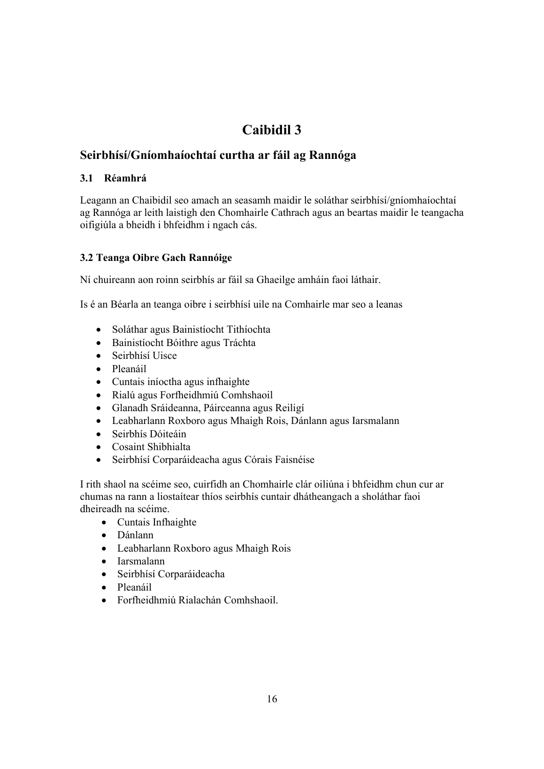# **Seirbhísí/Gníomhaíochtaí curtha ar fáil ag Rannóga**

# **3.1 Réamhrá**

Leagann an Chaibidil seo amach an seasamh maidir le soláthar seirbhísí/gníomhaíochtaí ag Rannóga ar leith laistigh den Chomhairle Cathrach agus an beartas maidir le teangacha oifigiúla a bheidh i bhfeidhm i ngach cás.

# **3.2 Teanga Oibre Gach Rannóige**

Ní chuireann aon roinn seirbhís ar fáil sa Ghaeilge amháin faoi láthair.

Is é an Béarla an teanga oibre i seirbhísí uile na Comhairle mar seo a leanas

- Soláthar agus Bainistíocht Tithíochta
- Bainistíocht Bóithre agus Tráchta
- Seirbhísí Uisce
- Pleanáil
- Cuntais iníoctha agus infhaighte
- Rialú agus Forfheidhmiú Comhshaoil
- Glanadh Sráideanna, Páirceanna agus Reiligí
- Leabharlann Roxboro agus Mhaigh Rois, Dánlann agus Iarsmalann
- Seirbhís Dóiteáin
- Cosaint Shibhialta
- Seirbhísí Corparáideacha agus Córais Faisnéise

I rith shaol na scéime seo, cuirfidh an Chomhairle clár oiliúna i bhfeidhm chun cur ar chumas na rann a liostaítear thíos seirbhís cuntair dhátheangach a sholáthar faoi dheireadh na scéime.

- Cuntais Infhaighte
- Dánlann
- Leabharlann Roxboro agus Mhaigh Rois
- Iarsmalann
- Seirbhísí Corparáideacha
- Pleanáil
- Forfheidhmiú Rialachán Comhshaoil.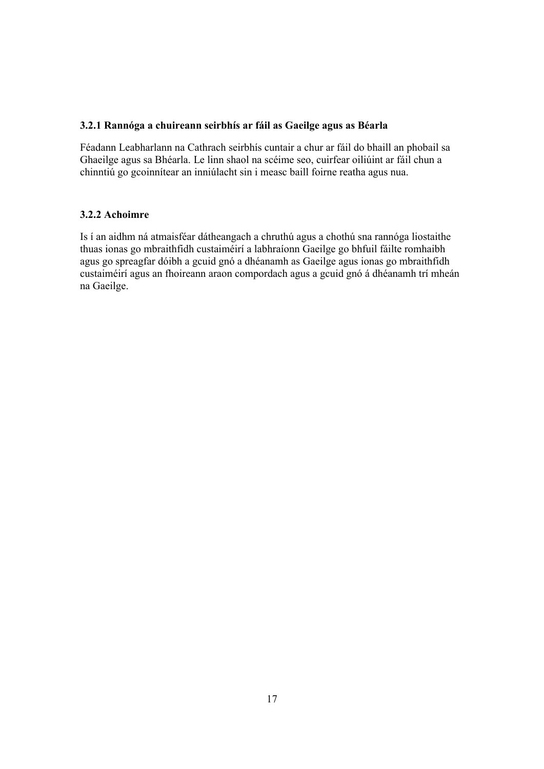### **3.2.1 Rannóga a chuireann seirbhís ar fáil as Gaeilge agus as Béarla**

Féadann Leabharlann na Cathrach seirbhís cuntair a chur ar fáil do bhaill an phobail sa Ghaeilge agus sa Bhéarla. Le linn shaol na scéime seo, cuirfear oiliúint ar fáil chun a chinntiú go gcoinnítear an inniúlacht sin i measc baill foirne reatha agus nua.

#### **3.2.2 Achoimre**

Is í an aidhm ná atmaisféar dátheangach a chruthú agus a chothú sna rannóga liostaithe thuas ionas go mbraithfidh custaiméirí a labhraíonn Gaeilge go bhfuil fáilte romhaibh agus go spreagfar dóibh a gcuid gnó a dhéanamh as Gaeilge agus ionas go mbraithfidh custaiméirí agus an fhoireann araon compordach agus a gcuid gnó á dhéanamh trí mheán na Gaeilge.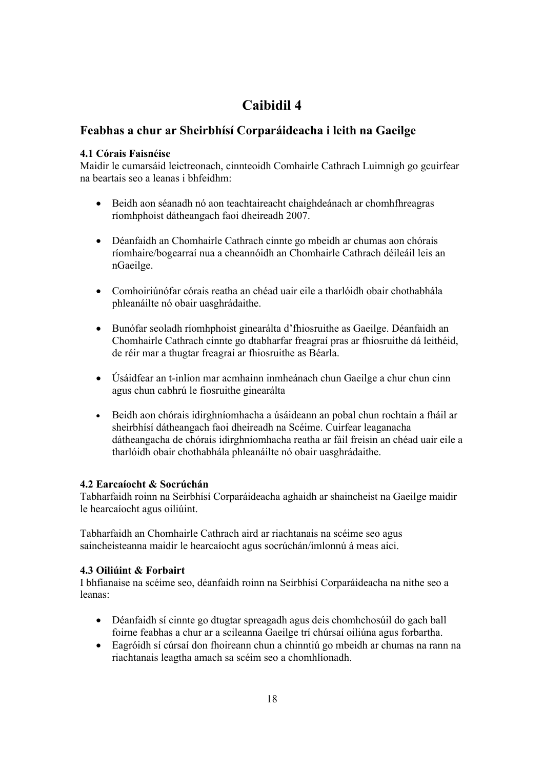# **Feabhas a chur ar Sheirbhísí Corparáideacha i leith na Gaeilge**

### **4.1 Córais Faisnéise**

Maidir le cumarsáid leictreonach, cinnteoidh Comhairle Cathrach Luimnigh go gcuirfear na beartais seo a leanas i bhfeidhm:

- Beidh aon séanadh nó aon teachtaireacht chaighdeánach ar chomhfhreagras ríomhphoist dátheangach faoi dheireadh 2007.
- Déanfaidh an Chomhairle Cathrach cinnte go mbeidh ar chumas aon chórais ríomhaire/bogearraí nua a cheannóidh an Chomhairle Cathrach déileáil leis an nGaeilge.
- Comhoiriúnófar córais reatha an chéad uair eile a tharlóidh obair chothabhála phleanáilte nó obair uasghrádaithe.
- Bunófar seoladh ríomhphoist ginearálta d'fhiosruithe as Gaeilge. Déanfaidh an Chomhairle Cathrach cinnte go dtabharfar freagraí pras ar fhiosruithe dá leithéid, de réir mar a thugtar freagraí ar fhiosruithe as Béarla.
- Úsáidfear an t-inlíon mar acmhainn inmheánach chun Gaeilge a chur chun cinn agus chun cabhrú le fiosruithe ginearálta
- Beidh aon chórais idirghníomhacha a úsáideann an pobal chun rochtain a fháil ar sheirbhísí dátheangach faoi dheireadh na Scéime. Cuirfear leaganacha dátheangacha de chórais idirghníomhacha reatha ar fáil freisin an chéad uair eile a tharlóidh obair chothabhála phleanáilte nó obair uasghrádaithe.

# **4.2 Earcaíocht & Socrúchán**

Tabharfaidh roinn na Seirbhísí Corparáideacha aghaidh ar shaincheist na Gaeilge maidir le hearcaíocht agus oiliúint.

Tabharfaidh an Chomhairle Cathrach aird ar riachtanais na scéime seo agus saincheisteanna maidir le hearcaíocht agus socrúchán/imlonnú á meas aici.

### **4.3 Oiliúint & Forbairt**

I bhfianaise na scéime seo, déanfaidh roinn na Seirbhísí Corparáideacha na nithe seo a leanas:

- Déanfaidh sí cinnte go dtugtar spreagadh agus deis chomhchosúil do gach ball foirne feabhas a chur ar a scileanna Gaeilge trí chúrsaí oiliúna agus forbartha.
- Eagróidh sí cúrsaí don fhoireann chun a chinntiú go mbeidh ar chumas na rann na riachtanais leagtha amach sa scéim seo a chomhlíonadh.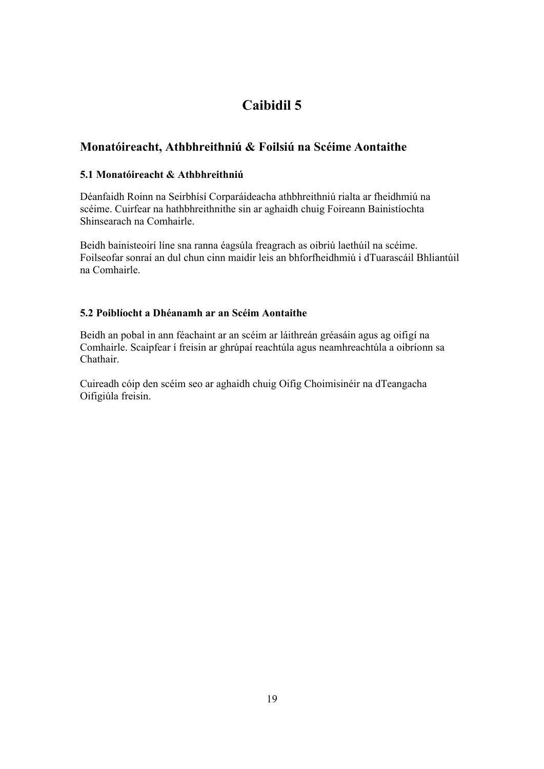# **Monatóireacht, Athbhreithniú & Foilsiú na Scéime Aontaithe**

# **5.1 Monatóireacht & Athbhreithniú**

Déanfaidh Roinn na Seirbhísí Corparáideacha athbhreithniú rialta ar fheidhmiú na scéime. Cuirfear na hathbhreithnithe sin ar aghaidh chuig Foireann Bainistíochta Shinsearach na Comhairle.

Beidh bainisteoirí líne sna ranna éagsúla freagrach as oibriú laethúil na scéime. Foilseofar sonraí an dul chun cinn maidir leis an bhforfheidhmiú i dTuarascáil Bhliantúil na Comhairle.

# **5.2 Poiblíocht a Dhéanamh ar an Scéim Aontaithe**

Beidh an pobal in ann féachaint ar an scéim ar láithreán gréasáin agus ag oifigí na Comhairle. Scaipfear í freisin ar ghrúpaí reachtúla agus neamhreachtúla a oibríonn sa Chathair.

Cuireadh cóip den scéim seo ar aghaidh chuig Oifig Choimisinéir na dTeangacha Oifigiúla freisin.